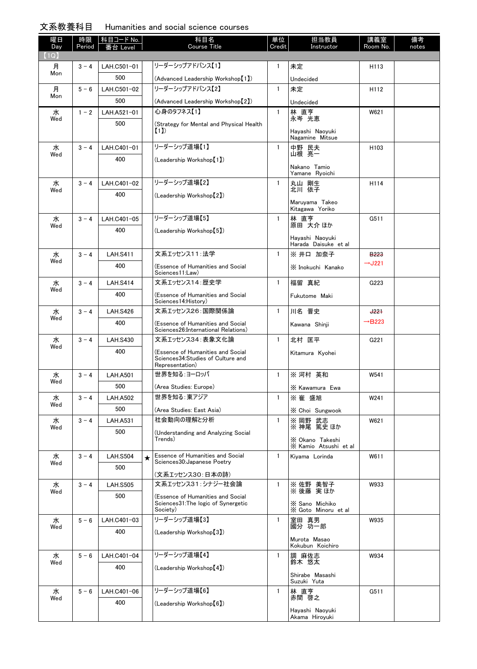## 文系教養科目 Humanities and social science courses

| 曜日<br>Day | 時限<br>Period | │科目コード <u>No.</u>      |         | 科目名<br>Course Title                                                                        | 単位<br>Credit | 担当教員<br>Instructor                       | 講義室<br>Room No.              | 備考<br>notes |
|-----------|--------------|------------------------|---------|--------------------------------------------------------------------------------------------|--------------|------------------------------------------|------------------------------|-------------|
| (1Q)      |              |                        |         |                                                                                            |              |                                          |                              |             |
| 月         | $3 - 4$      | LAH.C501-01            |         | リーダーシップアドバンス【1】                                                                            | 1            | 未定                                       | H113                         |             |
| Mon       |              | 500                    |         | (Advanced Leadership Workshop [1])                                                         |              | Undecided                                |                              |             |
| 月         | $5 - 6$      | LAH.C501-02            |         | リーダーシップアドバンス【2】                                                                            | $\mathbf{1}$ | 未定                                       | H112                         |             |
| Mon       |              | 500                    |         | (Advanced Leadership Workshop [2])                                                         |              | Undecided                                |                              |             |
| 水         | $1 - 2$      | LAH.A521-01            |         | 心身のタフネス【1】                                                                                 | $\mathbf{1}$ | 林 直亨<br>永岑 光恵                            | W621                         |             |
| Wed       |              | 500                    |         | (Strategy for Mental and Physical Health                                                   |              |                                          |                              |             |
|           |              |                        |         | (1)                                                                                        |              | Hayashi Naoyuki<br>Nagamine Mitsue       |                              |             |
| 水         | $3 - 4$      | LAH.C401-01            |         | リーダーシップ道場【1】                                                                               | $\mathbf{1}$ | 中野 民夫<br>山根 亮一                           | H <sub>103</sub>             |             |
| Wed       |              | 400                    |         | (Leadership Workshop [1])                                                                  |              |                                          |                              |             |
|           |              |                        |         |                                                                                            |              | Nakano Tamio<br>Yamane Ryoichi           |                              |             |
| 水         | $3 - 4$      | LAH.C401-02            |         | リーダーシップ道場【2】                                                                               | $\mathbf{1}$ | 丸山 剛生                                    | H114                         |             |
| Wed       |              | 400                    |         | (Leadership Workshop [2])                                                                  |              | 北川 依子                                    |                              |             |
|           |              |                        |         |                                                                                            |              | Maruyama Takeo<br>Kitagawa Yoriko        |                              |             |
| 水         | $3 - 4$      | LAH.C401-05            |         | リーダーシップ道場【5】                                                                               | $\mathbf{1}$ | 林 直亨                                     | G511                         |             |
| Wed       |              | 400                    |         | (Leadership Workshop [5])                                                                  |              | 原田 大介 ほか                                 |                              |             |
|           |              |                        |         |                                                                                            |              | Hayashi Naoyuki<br>Harada Daisuke et al  |                              |             |
| 水         | $3 - 4$      | <b>LAH.S411</b>        |         | 文系エッセンス11:法学                                                                               | $\mathbf{1}$ | ※ 井口 加奈子                                 | <b>B223</b>                  |             |
| Wed       |              | 400                    |         | (Essence of Humanities and Social<br>Sciences11:Law)                                       |              | X Inokuchi Kanako                        | $\rightarrow$ J221           |             |
| 水         | $3 - 4$      | <b>LAH.S414</b>        |         | 文系エッセンス14:歴史学                                                                              | $\mathbf{1}$ | 福留 真紀                                    | G223                         |             |
| Wed       |              | 400                    |         | (Essence of Humanities and Social                                                          |              | Fukutome Maki                            |                              |             |
|           | $3 - 4$      |                        |         | Sciences14: History)<br>文系エッセンス26:国際関係論                                                    | $\mathbf{1}$ | 川名 晋史                                    |                              |             |
| 水<br>Wed  |              | <b>LAH.S426</b><br>400 |         |                                                                                            |              |                                          | $+22+$<br>$\rightarrow$ B223 |             |
|           |              |                        |         | (Essence of Humanities and Social<br>Sciences26:International Relations)                   |              | Kawana Shinji                            |                              |             |
| 水         | $3 - 4$      | <b>LAH.S430</b>        |         | 文系エッセンス34:表象文化論                                                                            | $\mathbf{1}$ | 北村 匡平                                    | G221                         |             |
| Wed       |              | 400                    |         | (Essence of Humanities and Social<br>Sciences34: Studies of Culture and<br>Representation) |              | Kitamura Kyohei                          |                              |             |
| 水         | $3 - 4$      | <b>LAH.A501</b>        |         | 世界を知る:ヨーロッパ                                                                                | $\mathbf{1}$ | ※ 河村 英和                                  | W541                         |             |
| Wed       |              | 500                    |         | (Area Studies: Europe)                                                                     |              | X Kawamura Ewa                           |                              |             |
| 水         | $3 - 4$      | <b>LAH.A502</b>        |         | 世界を知る: 東アジア                                                                                | $\mathbf{1}$ | ※崔 盛旭                                    | W241                         |             |
| Wed       |              | 500                    |         | (Area Studies: East Asia)                                                                  |              | X Choi Sungwook                          |                              |             |
| 水         | $3 - 4$      | <b>LAH.A531</b>        |         | 社会動向の理解と分析                                                                                 | 1            | ※ 岡野 武志                                  | W621                         |             |
| Wed       |              | 500                    |         | (Understanding and Analyzing Social                                                        |              | ※ 神尾 篤史 ほか                               |                              |             |
|           |              |                        |         | Trends)                                                                                    |              | X Okano Takeshi<br>X Kamio Atsushi et al |                              |             |
| 水         | $3 - 4$      | <b>LAH.S504</b>        | $\star$ | <b>Essence of Humanities and Social</b>                                                    | $\mathbf{1}$ | Kiyama Lorinda                           | W611                         |             |
| Wed       |              | 500                    |         | Sciences30: Japanese Poetry                                                                |              |                                          |                              |             |
| 水         | $3 - 4$      | <b>LAH.S505</b>        |         | (文系エッセンス30:日本の詩)<br>文系エッセンス31:シナジー社会論                                                      | 1            |                                          | W933                         |             |
| Wed       |              | 500                    |         | (Essence of Humanities and Social                                                          |              | ※佐野 美智子<br>※後藤 実ほか                       |                              |             |
|           |              |                        |         | Sciences31: The logic of Synergetic<br>Society)                                            |              | X Sano Michiko<br>X Goto Minoru et al    |                              |             |
| 水         | $5 - 6$      | LAH.C401-03            |         | リーダーシップ道場【3】                                                                               | $\mathbf{1}$ | 室田 真男<br>國分 功一郎                          | W935                         |             |
| Wed       |              | 400                    |         | (Leadership Workshop <sup>[3])</sup>                                                       |              |                                          |                              |             |
|           |              |                        |         |                                                                                            |              | Murota Masao<br>Kokubun Koichiro         |                              |             |
| 水         | $5 - 6$      | LAH.C401-04            |         | リーダーシップ道場【4】                                                                               | $\mathbf{1}$ | 調 麻佐志<br>鈴木 悠太                           | W934                         |             |
| Wed       |              | 400                    |         | (Leadership Workshop [4])                                                                  |              |                                          |                              |             |
|           |              |                        |         |                                                                                            |              | Shirabe Masashi<br>Suzuki Yuta           |                              |             |
| 水         | $5 - 6$      | LAH.C401-06            |         | リーダーシップ道場【6】                                                                               | $\mathbf{1}$ | 林 直亨                                     | G511                         |             |
| Wed       |              | 400                    |         | (Leadership Workshop [6])                                                                  |              | 赤間 啓之                                    |                              |             |
|           |              |                        |         |                                                                                            |              | Hayashi Naoyuki<br>Akama Hiroyuki        |                              |             |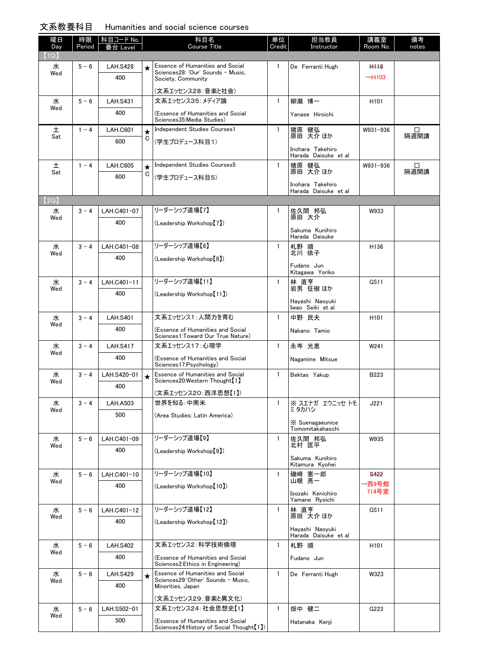| 文系教養科目 | Humanities and social science courses |  |  |
|--------|---------------------------------------|--|--|
|        |                                       |  |  |

| 曜日          | 時限      | 科目コード No.          |         | 科目名<br><b>Course Title</b>                                                                  | 単位           | 担当教員                                     | 講義室                | 備考        |
|-------------|---------|--------------------|---------|---------------------------------------------------------------------------------------------|--------------|------------------------------------------|--------------------|-----------|
| Day<br>(1Q) | Period  | Level              |         |                                                                                             | Credit       | Instructor                               | Room No.           | notes     |
| 水           | $5 - 6$ | <b>LAH.S428</b>    | $\star$ | Essence of Humanities and Social                                                            | 1            | De Ferranti Hugh                         | H <sub>118</sub>   |           |
| Wed         |         | 400                |         | Sciences28: 'Our' Sounds - Music.<br>Society, Community                                     |              |                                          | $\rightarrow$ H103 |           |
|             |         |                    |         | (文系エッセンス28:音楽と社会)                                                                           |              |                                          |                    |           |
| 水<br>Wed    | $5 - 6$ | <b>LAH.S431</b>    |         | 文系エッセンス35:メディア論                                                                             | $\mathbf{1}$ | 柳瀬 博一                                    | H <sub>101</sub>   |           |
|             |         | 400                |         | (Essence of Humanities and Social<br>Sciences35: Media Studies)                             |              | Yanase Hiroichi                          |                    |           |
| 土<br>Sat    | $1 - 4$ | <b>LAH.C601</b>    | $\star$ | Independent Studies Courses1                                                                | $\mathbf{1}$ | 猪原 健弘<br>原田 天介 ほか                        | W931-936           | □<br>隔週開講 |
|             |         | 600                | C       | (学生プロデュース科目1)                                                                               |              | Inohara Takehiro                         |                    |           |
| 土           | $1 - 4$ | <b>LAH.C605</b>    | $\star$ | Independent Studies Courses5                                                                | $\mathbf{1}$ | Harada Daisuke et al<br>猪原 健弘            | W931-936           | □         |
| Sat         |         | 600                | С       | (学生プロデュース科目5)                                                                               |              | 原田 大介 ほか                                 |                    | 隔週開講      |
|             |         |                    |         |                                                                                             |              | Inohara Takehiro<br>Harada Daisuke et al |                    |           |
| (2Q)        |         |                    |         |                                                                                             |              |                                          |                    |           |
| 水<br>Wed    | $3 - 4$ | LAH.C401-07        |         | リーダーシップ道場【7】                                                                                | 1            | 佐久間 邦弘<br>原田 大介                          | W933               |           |
|             |         | 400                |         | (Leadership Workshop [7])                                                                   |              | Sakuma Kunihiro                          |                    |           |
|             |         |                    |         |                                                                                             |              | Harada Daisuke                           |                    |           |
| 水<br>Wed    | $3 - 4$ | LAH.C401-08        |         | リーダーシップ道場【8】                                                                                | $\mathbf{1}$ | 札野 順<br>北川 依子                            | H136               |           |
|             |         | 400                |         | (Leadership Workshop【8】)                                                                    |              | Fudano Jun                               |                    |           |
|             |         |                    |         | リーダーシップ道場【11】                                                                               |              | Kitagawa Yoriko                          |                    |           |
| 水<br>Wed    | $3 - 4$ | LAH.C401-11<br>400 |         | (Leadership Workshop [11])                                                                  | $\mathbf{1}$ | 林 直亨<br>岩男 征樹 ほか                         | G511               |           |
|             |         |                    |         |                                                                                             |              | Hayashi Naoyuki<br>Iwao Seiki et al      |                    |           |
| 水           | $3 - 4$ | <b>LAH.S401</b>    |         | 文系エッセンス1:人間力を育む                                                                             | $\mathbf{1}$ | 中野 民夫                                    | H <sub>101</sub>   |           |
| Wed         |         | 400                |         | (Essence of Humanities and Social<br>Sciences1:Toward Our True Nature)                      |              | Nakano Tamio                             |                    |           |
| 水           | $3 - 4$ | <b>LAH.S417</b>    |         | 文系エッセンス17:心理学                                                                               | $\mathbf{1}$ | 永岑 光恵                                    | W241               |           |
| Wed         |         | 400                |         | (Essence of Humanities and Social<br>Sciences17: Psychology)                                |              | Nagamine Mitsue                          |                    |           |
| 水<br>Wed    | $3 - 4$ | LAH.S420-01        | $\star$ | Essence of Humanities and Social<br>Sciences20:Western Thought <sup>[1]</sup>               | $\mathbf{1}$ | Bektas Yakup                             | B223               |           |
|             |         | 400                |         | (文系エッセンス20:西洋思想【1】)                                                                         |              |                                          |                    |           |
| 水           | $3 - 4$ | <b>LAH.A503</b>    |         | 世界を知る:中南米                                                                                   | $\mathbf{1}$ | ※ スエナガ エウニッセ トモ                          | J221               |           |
| Wed         |         | 500                |         | (Area Studies: Latin America)                                                               |              | ミタカハシ                                    |                    |           |
|             |         |                    |         |                                                                                             |              | $X$ Suenagaeunice<br>Tomomitakahaschi    |                    |           |
| 水<br>Wed    | $5 - 6$ | LAH.C401-09        |         | リーダーシップ道場【9】                                                                                | 1            | 佐久間 邦弘<br>北村 匡平                          | W935               |           |
|             |         | 400                |         | (Leadership Workshop <sup>[9]</sup> )                                                       |              | Sakuma Kunihiro                          |                    |           |
|             |         |                    |         |                                                                                             |              | Kitamura Kyohei                          |                    |           |
| 水<br>Wed    | $5 - 6$ | LAH.C401-10        |         | リーダーシップ道場【10】                                                                               | $\mathbf{1}$ | 磯崎 憲一郎<br>山根 亮一                          | S422<br>→西9号館      |           |
|             |         | 400                |         | (Leadership Workshop [10])                                                                  |              | Isozaki Kenichiro<br>Yamane Ryoichi      | 714号室              |           |
| 水           | $5 - 6$ | LAH.C401-12        |         | リーダーシップ道場【12】                                                                               | 1            | 林 直亨                                     | G511               |           |
| Wed         |         | 400                |         | (Leadership Workshop【12】)                                                                   |              | 原田 大介 ほか                                 |                    |           |
|             |         |                    |         |                                                                                             |              | Hayashi Naoyuki<br>Harada Daisuke et al  |                    |           |
| 水           | $5 - 6$ | <b>LAH.S402</b>    |         | 文系エッセンス2:科学技術倫理                                                                             | $\mathbf{1}$ | 札野 順                                     | H <sub>101</sub>   |           |
| Wed         |         | 400                |         | (Essence of Humanities and Social<br>Sciences2: Ethics in Engineering)                      |              | Fudano Jun                               |                    |           |
| 水           | $5 - 6$ | <b>LAH.S429</b>    | $\star$ | Essence of Humanities and Social<br>Sciences29:'Other' Sounds - Music,                      | $\mathbf{1}$ | De Ferranti Hugh                         | W323               |           |
| Wed         |         | 400                |         | Minorities, Japan                                                                           |              |                                          |                    |           |
|             |         |                    |         | (文系エッセンス29:音楽と異文化)                                                                          |              |                                          |                    |           |
| 水<br>Wed    | $5 - 6$ | LAH.S502-01        |         | 文系エッセンス24:社会思想史【1】                                                                          | $\mathbf{1}$ | 畑中 健二                                    | G223               |           |
|             |         | 500                |         | (Essence of Humanities and Social<br>Sciences24: History of Social Thought <sup>[1]</sup> ) |              | Hatanaka Kenji                           |                    |           |